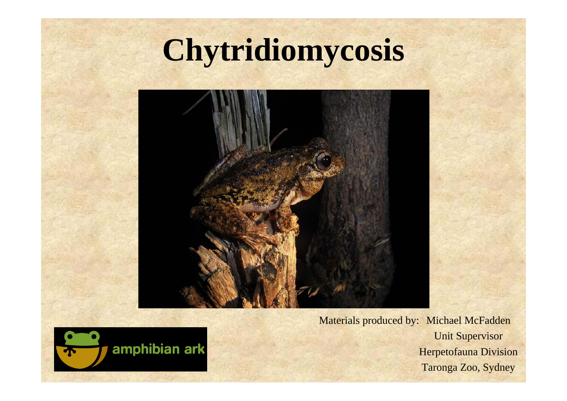# **Chytridiomycosis**





Materials produced by: Michael McFadden Unit Supervisor Herpetofauna Division Taronga Zoo, Sydney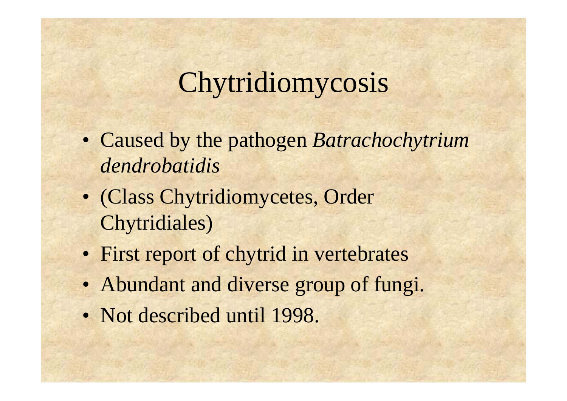### Chytridiomycosis

- Caused by the pathogen *Batrachochytrium dendrobatidis*
- (Class Chytridiomycetes, Order Chytridiales)
- First report of chytrid in vertebrates
- Abundant and diverse group of fungi.
- Not described until 1998.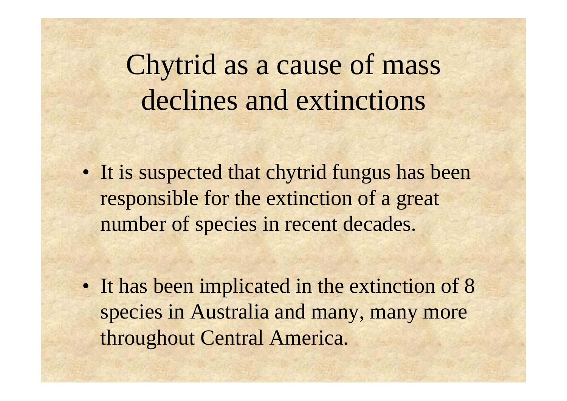### Chytrid as a cause of mass declines and extinctions

• It is suspected that chytrid fungus has been responsible for the extinction of a great number of species in recent decades.

• It has been implicated in the extinction of 8 species in Australia and many, many more throughout Central America.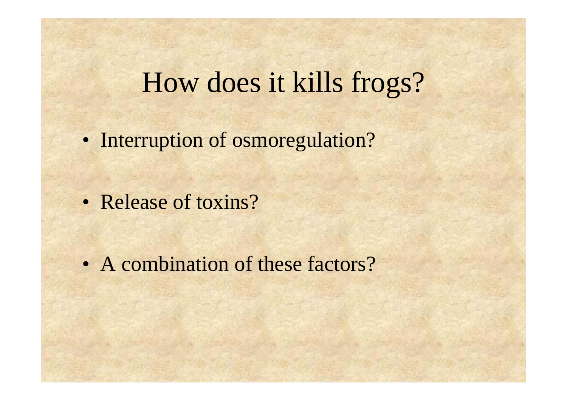#### How does it kills frogs?

• Interruption of osmoregulation?

• Release of toxins?

• A combination of these factors?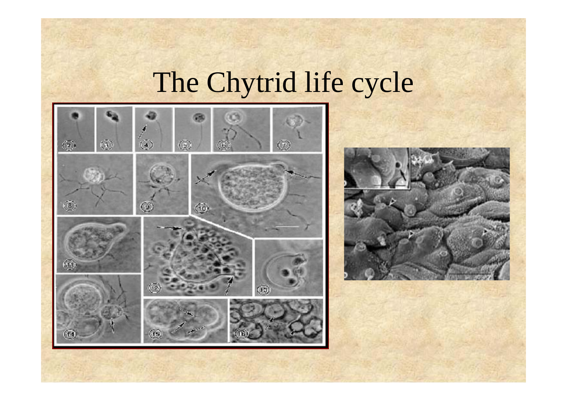## The Chytrid life cycle



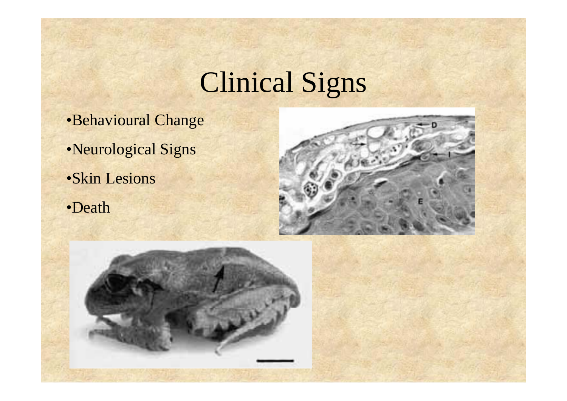### Clinical Signs

•Behavioural Change •Neurological Signs •Skin Lesions •Death



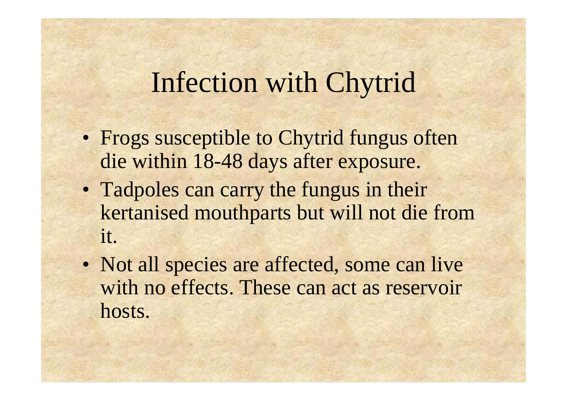#### Infection with Chytrid

- Frogs susceptible to Chytrid fungus often die within 18-48 days after exposure.
- Tadpoles can carry the fungus in their kertanised mouthparts but will not die from it.
- Not all species are affected, some can live with no effects. These can act as reservoir hosts.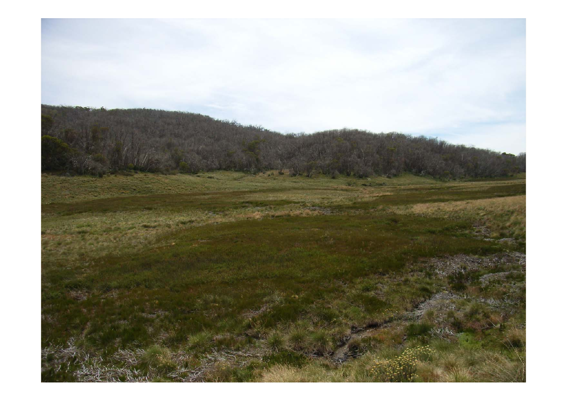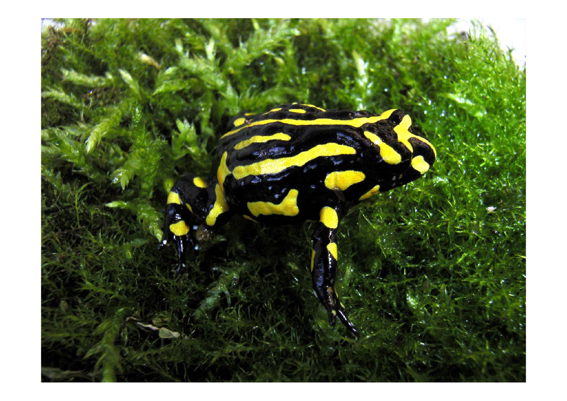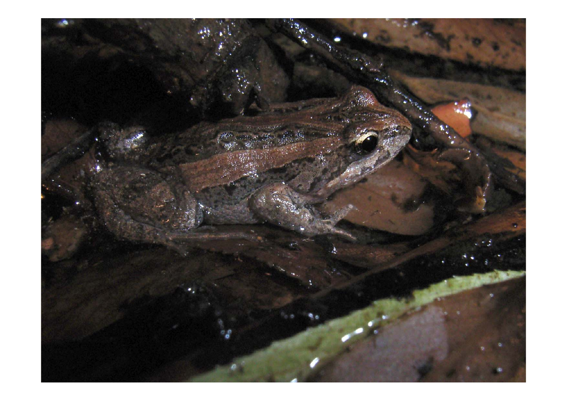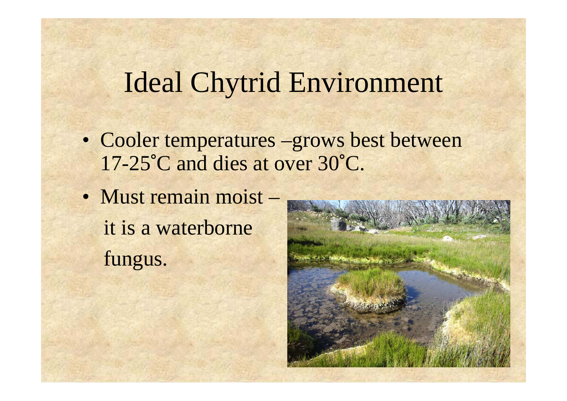#### Ideal Chytrid Environment

- Cooler temperatures –grows best between 17-25°C and dies at over 30°C.
- Must remain moist it is a waterborne fungus.

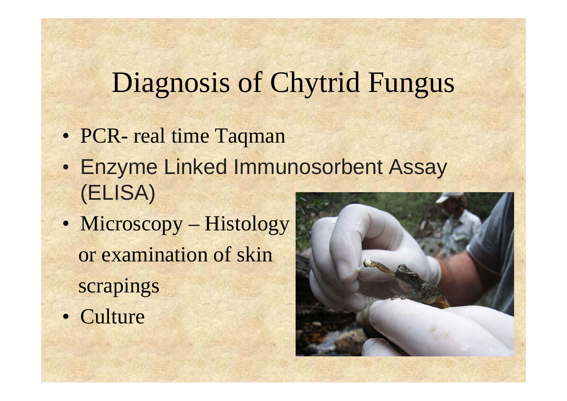### Diagnosis of Chytrid Fungus

- PCR- real time Taqman
- $\bullet$  Enzyme Linked Immunosorbent Assay (ELISA)
- Microscopy Histology or examination of skin scrapings
- Culture